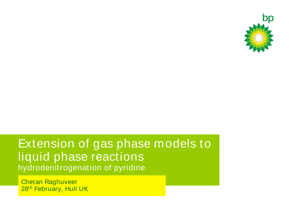

#### Extension of gas phase models to liquid phase reactions hydrodenitrogenation of pyridine

Chetan Raghuveer 28<sup>th</sup> February, Hull UK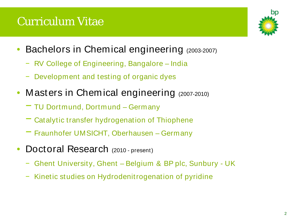## Curriculum Vitae



- Bachelors in Chemical engineering (2003-2007)
	- − RV College of Engineering, Bangalore India
	- − Development and testing of organic dyes
- Masters in Chemical engineering (2007-2010)
	- − TU Dortmund, Dortmund Germany
	- − Catalytic transfer hydrogenation of Thiophene
	- − Fraunhofer UMSICHT, Oberhausen Germany
- Doctoral Research (2010 present)
	- − Ghent University, Ghent Belgium & BP plc, Sunbury UK
	- − Kinetic studies on Hydrodenitrogenation of pyridine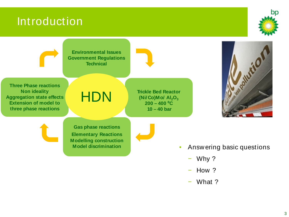#### Introduction





- − How ?
- − What ?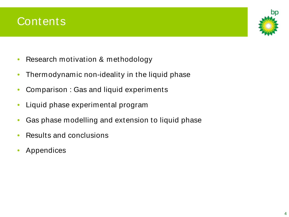#### **Contents**



- Research motivation & methodology
- Thermodynamic non-ideality in the liquid phase
- Comparison : Gas and liquid experiments
- Liquid phase experimental program
- Gas phase modelling and extension to liquid phase
- Results and conclusions
- Appendices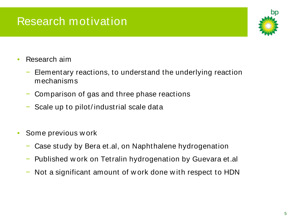## Research motivation



- Research aim
	- Elementary reactions, to understand the underlying reaction mechanisms
	- − Comparison of gas and three phase reactions
	- Scale up to pilot/ industrial scale data
- Some previous w ork
	- Case study by Bera et.al, on Naphthalene hydrogenation
	- − Published w ork on Tetralin hydrogenation by Guevara et.al
	- Not a significant amount of w ork done with respect to HDN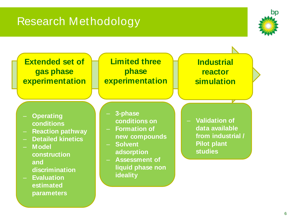## Research Methodology



**Extended set of gas phase experimentation**

#### **Limited three phase experimentation**

 $\mathbb{E}[\mathcal{E}(\mathcal{E})]$ 

**Industrial reactor simulation**

- **Operating conditions**
- **Reaction pathway**
- **Detailed kinetics**
- **Model** 
	- **construction and discrimination**
- **Evaluation estimated parameters**
- **3-phase conditions on**
- **Formation of new compounds**
- **Solvent adsorption**
- **Assessment of liquid phase non ideality**

– **Validation of data available from industrial / Pilot plant studies**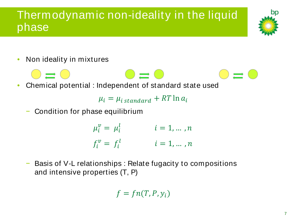#### Thermodynamic non-ideality in the liquid phase



• Non ideality in mixtures



• Chemical potential : Independent of standard state used

 $\mu_i = \mu_{i \, standard} + RT \ln a_i$ 

Condition for phase equilibrium

 $\mu_i^{\nu} = \mu_i^{\ell}$   $i = 1, ..., n$  $f_i^v = f_i$  $i = 1, \ldots, n$ 

Basis of V-L relationships : Relate fugacity to compositions and intensive properties (T, P)

$$
f=f n(T,P,y_i)
$$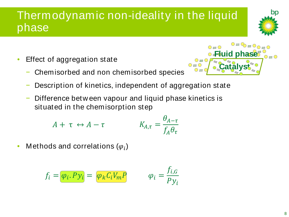#### Thermodynamic non-ideality in the liquid phase

- Effect of aggregation state
	- − Chemisorbed and non chemisorbed species
- $\bigcirc$   $\Rightarrow$   $\bigcirc$ **Fluid phase** $\equiv$  0 **Catalyst**
- Description of kinetics, independent of aggregation state

 $\tau$ 

Difference betw een vapour and liquid phase kinetics is situated in the chemisorption step

$$
A + \tau \leftrightarrow A - \tau \qquad K_{A,\tau} = \frac{\theta_{A-\tau}}{f_A \theta_{\tau}}
$$

• Methods and correlations  $(\varphi_i)$ 

$$
f_i = \overline{\varphi_i \cdot Py_i} = \overline{\varphi_k C_i V_m P} \qquad \varphi_i = \frac{f_{i,G}}{Py_i}
$$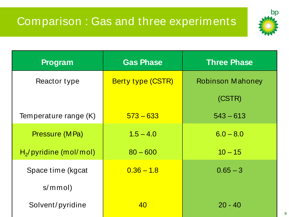## Comparison : Gas and three experiments



| <b>Program</b>             | <b>Gas Phase</b>         | <b>Three Phase</b>      |  |
|----------------------------|--------------------------|-------------------------|--|
| Reactor type               | <b>Berty type (CSTR)</b> | <b>Robinson Mahoney</b> |  |
|                            |                          | (CSTR)                  |  |
| Temperature range (K)      | $573 - 633$              | $543 - 613$             |  |
| Pressure (MPa)             | $1.5 - 4.0$              | $6.0 - 8.0$             |  |
| $H_2$ / pyridine (mol/mol) | $80 - 600$               | $10 - 15$               |  |
| Space time (kgcat          | $0.36 - 1.8$             | $0.65 - 3$              |  |
| s/mmol                     |                          |                         |  |
| Solvent/pyridine           | 40                       | $20 - 40$               |  |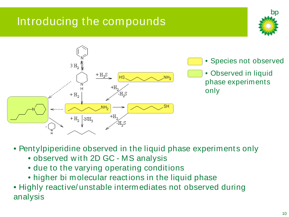## Introducing the compounds





• Pentylpiperidine observed in the liquid phase experiments only

- observed w ith 2D GC MS analysis
- due to the varying operating conditions
- higher bi molecular reactions in the liquid phase
- Highly reactive/ unstable intermediates not observed during analysis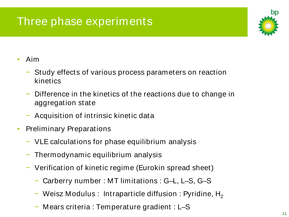## Three phase experiments

![](_page_10_Picture_1.jpeg)

- Aim
	- − Study effects of various process parameters on reaction kinetics
	- − Difference in the kinetics of the reactions due to change in aggregation state
	- − Acquisition of intrinsic kinetic data
- Preliminary Preparations
	- − VLE calculations for phase equilibrium analysis
	- Thermodynamic equilibrium analysis
	- − Verification of kinetic regime (Eurokin spread sheet)
		- − Carberry number : MT limitations : G–L, L–S, G–S
		- − Weisz Modulus : Intraparticle diffusion : Pyridine, H<sub>2</sub>
		- − Mears criteria : Temperature gradient : L–S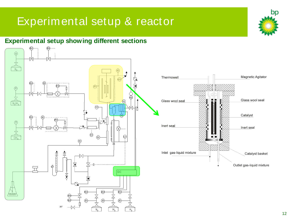#### Experimental setup & reactor

#### **Experimental setup showing different sections**

![](_page_11_Figure_2.jpeg)

bp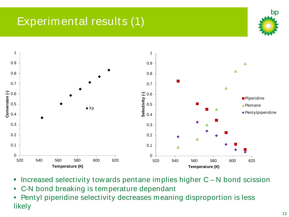# Experimental results (1)

![](_page_12_Picture_1.jpeg)

![](_page_12_Figure_2.jpeg)

- Increased selectivity tow ards pentane implies higher C N bond scission
- C-N bond breaking is temperature dependant
- Pentyl piperidine selectivity decreases meaning disproportion is less likely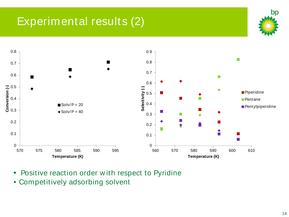## Experimental results (2)

![](_page_13_Picture_1.jpeg)

![](_page_13_Figure_2.jpeg)

- Positive reaction order w ith respect to Pyridine
- Competitively adsorbing solvent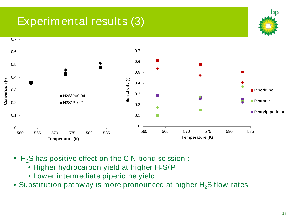## Experimental results (3)

![](_page_14_Figure_1.jpeg)

- $H_2S$  has positive effect on the C-N bond scission :
	- Higher hydrocarbon yield at higher  $H_2S/P$
	- Low er intermediate piperidine yield
- Substitution pathway is more pronounced at higher  $H_2S$  flow rates

bn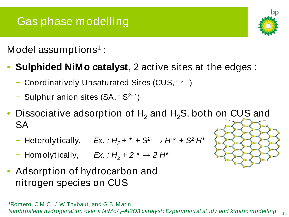## Gas phase modelling

Model assumptions<sup>1</sup>:

- **Sulphided NiMo catalyst**, 2 active sites at the edges :
	- − Coordinatively Unsaturated Sites (CUS, ' \* ')
	- − Sulphur anion sites (SA, ' S2- ')
- Dissociative adsorption of  $H_2$  and  $H_2S$ , both on CUS and **SA** 
	- − Heterolytically, *Ex. : H2 + \* + S2- → H- \* + S2- H+*
	- − Homolytically, *Ex. : H2 + 2 \* → 2 H\**
- Adsorption of hydrocarbon and nitrogen species on CUS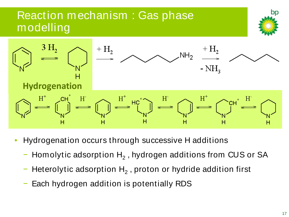#### Reaction mechanism : Gas phase modelling

![](_page_16_Figure_1.jpeg)

- Hydrogenation occurs through successive H additions
	- Homolytic adsorption  $H_2$ , hydrogen additions from CUS or SA
	- Heterolytic adsorption  $H_2$ , proton or hydride addition first
	- Each hydrogen addition is potentially RDS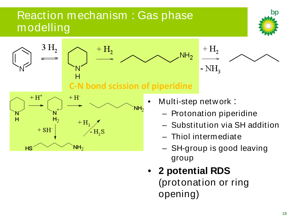#### Reaction mechanism : Gas phase modelling

![](_page_17_Picture_1.jpeg)

![](_page_17_Figure_2.jpeg)

• **2 potential RDS**  (protonation or ring opening)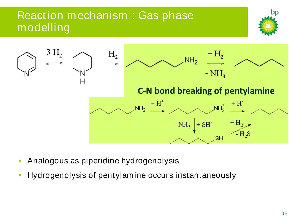#### Reaction mechanism : Gas phase modelling

![](_page_18_Picture_1.jpeg)

![](_page_18_Figure_2.jpeg)

- Analogous as piperidine hydrogenolysis
- Hydrogenolysis of pentylamine occurs instantaneously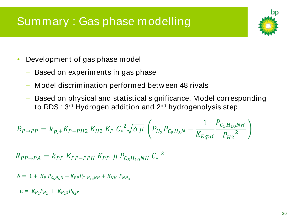## Summary : Gas phase modelling

![](_page_19_Picture_1.jpeg)

- Development of gas phase model
	- Based on experiments in gas phase
	- − Model discrimination performed betw een 48 rivals
	- Based on physical and statistical significance, Model corresponding to RDS : 3<sup>rd</sup> Hydrogen addition and 2<sup>nd</sup> hydrogenolysis step

$$
R_{P\to PP} = k_{p,+} K_{P-PH2} K_{H2} K_P C_*^2 \sqrt{\delta \mu} \left( P_{H_2} P_{C_5 H_5 N} - \frac{1}{K_{Equi}} \frac{P_{C_5 H_{10} N H}}{P_{H2}^2} \right)
$$

$$
R_{PP \to PA} = k_{PP} K_{PP-PPH} K_{PP} \mu P_{C_5H_{10}NH} C_*^2
$$

 $\delta = 1 + K_P P_{C_5H_5N} + K_{PP} P_{C_5H_{10}NH} + K_{NH_3} P_{NH_3}$ 

 $\mu = K_{H_2} P_{H_2} + K_{H_2} S_{H_2} S$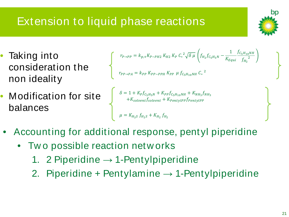# Extension to liquid phase reactions

- Taking into consideration the non ideality
- Modification for site balances

$$
\begin{aligned} r_{P \to PP} &= k_{p,+} K_{P-PH2} \, K_{H2} \, K_P \, C_*^2 \sqrt{\delta \, \mu} \left( f_{H_2} f_{C_5 H_5 N} - \frac{1}{K_{Equi}} \frac{f_{C_5 H_{10} N H}}{f_{H_2}^2} \right) \\ r_{PP \to PA} &= k_{PP} \, K_{PP-PPH} \, K_{PP} \, \mu \, f_{C_5 H_{10} N H} \, C_*^2 \end{aligned}
$$

$$
\delta = 1 + K_P f_{C_5H_5N} + K_{PP} f_{C_5H_{10}NH} + K_{NH_3} f_{NH_3}
$$

$$
+ K_{solvent} f_{solvent} + K_{PentylPP} f_{PentylPP}
$$

$$
\mu = K_{H_2S} f_{H_2S} + K_{H_2} f_{H_2}
$$

- Accounting for additional response, pentyl piperidine
	- Two possible reaction networks
		- 1. 2 Piperidine  $\rightarrow$  1-Pentylpiperidine
		- 2. Piperidine + Pentylamine  $\rightarrow$  1-Pentylpiperidine

![](_page_20_Picture_11.jpeg)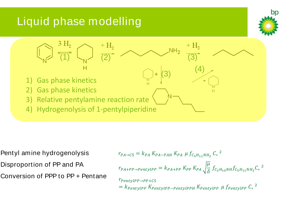## Liquid phase modelling

![](_page_21_Picture_1.jpeg)

![](_page_21_Figure_2.jpeg)

Pentyl amine hydrogenolysis Disproportion of PP and PA Conversion of PPP to PP + Pentane

$$
r_{PA \to C5} = k_{PA} K_{PA-PAH} K_{PA} \mu f_{C_5H_{11}NH_2} C_*^2
$$
  
\n
$$
r_{PA+PP \to PentyIPP} = k_{PA+PP} K_{PP} K_{PA} \sqrt{\frac{\mu}{\delta}} f_{C_5H_{10}NH} f_{C_5H_{11}NH_2} C_*^2
$$
  
\n
$$
r_{PentyIPP \to PP+C5}
$$
  
\n
$$
= k_{PentyIPP} K_{PentyIPP-PentyIPPH} K_{PentyIPP} \mu f_{PentyIPP} C_*^2
$$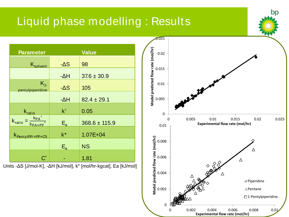#### Liquid phase modelling : Results **Parameter Value**  $K_{\text{solvent}}$  - $\Delta S$  98  $-AH$  37.6 ± 30.9  $K_{1-}$  $p$ entylpiperidine -ΔS 105 0.01 0.015 0.02 0.025

| pentylpiperidine                                                     | -גש     | <b>CUI</b>        |  |
|----------------------------------------------------------------------|---------|-------------------|--|
|                                                                      | $-AH$   | $82.4 \pm 29.1$   |  |
| $k_{\text{ratio}}$                                                   | $k^*$   | 0.05              |  |
| $k_{PA}$ *<br>K <sub>ratio</sub><br>$\overline{\ast}$<br>$k_{PA+PP}$ | $E_{a}$ | $368.6 \pm 115.9$ |  |
| K <sub>PentylPP-&gt;PP+C5</sub>                                      | $k^*$   | $1.07E + 04$      |  |
|                                                                      | $E_{a}$ | <b>NS</b>         |  |
| $C^*$                                                                |         | 1.81              |  |

Units -ΔS [J/mol-K], -ΔH [kJ/mol], k\* [mol/hr-kgcat], Ea [kJ/mol]

![](_page_22_Figure_3.jpeg)

bn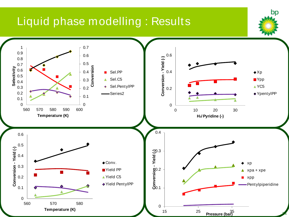#### Liquid phase modelling : Results

![](_page_23_Figure_1.jpeg)

bp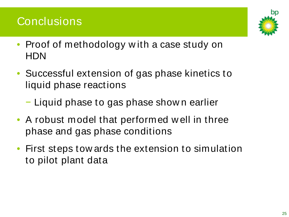#### **Conclusions**

![](_page_24_Picture_1.jpeg)

- Proof of methodology with a case study on HDN
- Successful extension of gas phase kinetics to liquid phase reactions
	- − Liquid phase to gas phase show n earlier
- A robust model that performed w ell in three phase and gas phase conditions
- First steps tow ards the extension to simulation to pilot plant data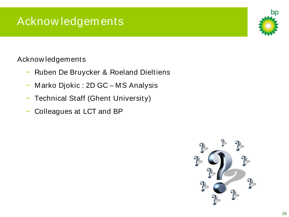## Acknow ledgements

Acknow ledgements

- − Ruben De Bruycker & Roeland Dieltiens
- − Marko Djokic : 2D GC MS Analysis
- − Technical Staff (Ghent University)
- Colleagues at LCT and BP

![](_page_25_Picture_6.jpeg)

![](_page_25_Picture_8.jpeg)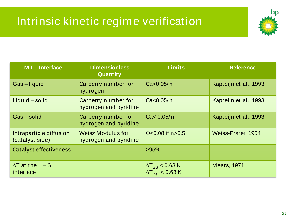## Intrinsic kinetic regime verification

![](_page_26_Picture_1.jpeg)

| <b>MT-Interface</b>                        | <b>Dimensionless</b><br>Quantity                  | <b>Limits</b>                                                | <b>Reference</b>      |
|--------------------------------------------|---------------------------------------------------|--------------------------------------------------------------|-----------------------|
| Gas-liquid                                 | Carberry number for<br>hydrogen                   | Ca < 0.05/n                                                  | Kapteijn et.al., 1993 |
| Liquid - solid                             | Carberry number for<br>hydrogen and pyridine      | Ca < 0.05/n                                                  | Kapteijn et.al., 1993 |
| Gas-solid                                  | Carberry number for<br>hydrogen and pyridine      | Ca< 0.05/n                                                   | Kapteijn et al., 1993 |
| Intraparticle diffusion<br>(catalyst side) | <b>Weisz Modulus for</b><br>hydrogen and pyridine | $\Phi$ <0.08 if n>0.5                                        | Weiss-Prater, 1954    |
| Catalyst effectiveness                     |                                                   | >95%                                                         |                       |
| $\Delta T$ at the L – S<br>interface       |                                                   | $\Delta T_{LS}$ < 0.63 K<br>$\Delta T_{\text{int}}$ < 0.63 K | <b>Mears, 1971</b>    |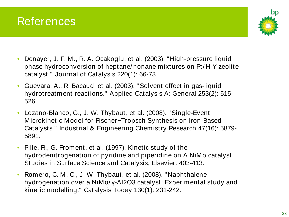![](_page_27_Picture_0.jpeg)

![](_page_27_Picture_1.jpeg)

- Denayer, J. F. M., R. A. Ocakoglu, et al. (2003). "High-pressure liquid phase hydroconversion of heptane/ nonane mixtures on Pt/ H-Y zeolite catalyst." Journal of Catalysis 220(1): 66-73.
- Guevara, A., R. Bacaud, et al. (2003). "Solvent effect in gas-liquid hydrotreatment reactions." Applied Catalysis A: General 253(2): 515- 526.
- Lozano-Blanco, G., J. W. Thybaut, et al. (2008). "Single-Event Microkinetic Model for Fischer−Tropsch Synthesis on Iron-Based Catalysts." Industrial & Engineering Chemistry Research 47(16): 5879- 5891.
- Pille, R., G. Froment, et al. (1997). Kinetic study of the hydrodenitrogenation of pyridine and piperidine on A NiMo catalyst. Studies in Surface Science and Catalysis, Elsevier: 403-413.
- Romero, C. M. C., J. W. Thybaut, et al. (2008). "Naphthalene hydrogenation over a NiMo/ γ-Al2O3 catalyst: Experimental study and kinetic modelling." Catalysis Today 130(1): 231-242.